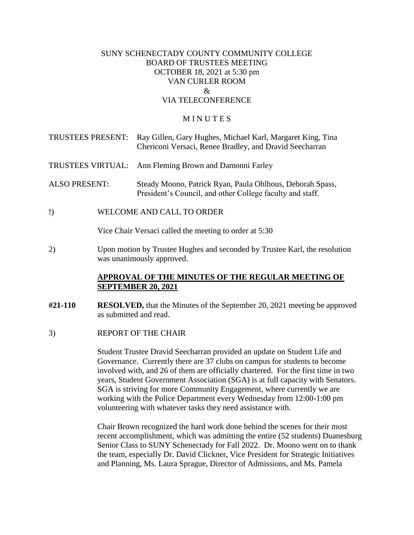## SUNY SCHENECTADY COUNTY COMMUNITY COLLEGE BOARD OF TRUSTEES MEETING OCTOBER 18, 2021 at 5:30 pm VAN CURLER ROOM  $\mathcal{R}_{\mathcal{L}}$ VIA TELECONFERENCE

#### **MINUTES**

| TRUSTEES PRESENT:    |                                                                                                         | Ray Gillen, Gary Hughes, Michael Karl, Margaret King, Tina<br>Chericoni Versaci, Renee Bradley, and Dravid Seecharran  |
|----------------------|---------------------------------------------------------------------------------------------------------|------------------------------------------------------------------------------------------------------------------------|
| TRUSTEES VIRTUAL:    |                                                                                                         | Ann Fleming Brown and Damonni Farley                                                                                   |
| <b>ALSO PRESENT:</b> |                                                                                                         | Steady Moono, Patrick Ryan, Paula Ohlhous, Deborah Spass,<br>President's Council, and other College faculty and staff. |
| $\mathbf{I}$         |                                                                                                         | WELCOME AND CALL TO ORDER                                                                                              |
|                      | Vice Chair Versaci called the meeting to order at 5:30                                                  |                                                                                                                        |
| 2)                   | Upon motion by Trustee Hughes and seconded by Trustee Karl, the resolution<br>was unanimously approved. |                                                                                                                        |

#### **APPROVAL OF THE MINUTES OF THE REGULAR MEETING OF SEPTEMBER 20, 2021**

- **#21-110 RESOLVED,** that the Minutes of the September 20, 2021 meeting be approved as submitted and read.
- 3) REPORT OF THE CHAIR

 SGA is striving for more Community Engagement, where currently we are Student Trustee Dravid Seecharran provided an update on Student Life and Governance. Currently there are 37 clubs on campus for students to become involved with, and 26 of them are officially chartered. For the first time in two years, Student Government Association (SGA) is at full capacity with Senators. working with the Police Department every Wednesday from 12:00-1:00 pm volunteering with whatever tasks they need assistance with.

Chair Brown recognized the hard work done behind the scenes for their most recent accomplishment, which was admitting the entire (52 students) Duanesburg Senior Class to SUNY Schenectady for Fall 2022. Dr. Moono went on to thank the team, especially Dr. David Clickner, Vice President for Strategic Initiatives and Planning, Ms. Laura Sprague, Director of Admissions, and Ms. Pamela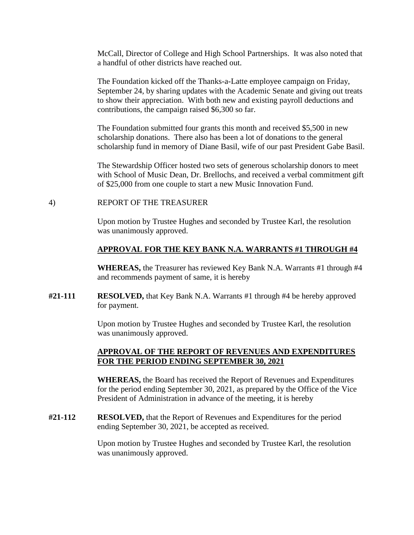McCall, Director of College and High School Partnerships. It was also noted that a handful of other districts have reached out.

The Foundation kicked off the Thanks-a-Latte employee campaign on Friday, September 24, by sharing updates with the Academic Senate and giving out treats to show their appreciation. With both new and existing payroll deductions and contributions, the campaign raised \$6,300 so far.

 scholarship fund in memory of Diane Basil, wife of our past President Gabe Basil. The Foundation submitted four grants this month and received \$5,500 in new scholarship donations. There also has been a lot of donations to the general

The Stewardship Officer hosted two sets of generous scholarship donors to meet with School of Music Dean, Dr. Brellochs, and received a verbal commitment gift of \$25,000 from one couple to start a new Music Innovation Fund.

#### 4) REPORT OF THE TREASURER

Upon motion by Trustee Hughes and seconded by Trustee Karl, the resolution was unanimously approved.

## **APPROVAL FOR THE KEY BANK N.A. WARRANTS #1 THROUGH #4**

**WHEREAS,** the Treasurer has reviewed Key Bank N.A. Warrants #1 through #4 and recommends payment of same, it is hereby

**#21-111 RESOLVED,** that Key Bank N.A. Warrants #1 through #4 be hereby approved for payment.

> Upon motion by Trustee Hughes and seconded by Trustee Karl, the resolution was unanimously approved.

#### **APPROVAL OF THE REPORT OF REVENUES AND EXPENDITURES FOR THE PERIOD ENDING SEPTEMBER 30, 2021**

**WHEREAS,** the Board has received the Report of Revenues and Expenditures for the period ending September 30, 2021, as prepared by the Office of the Vice President of Administration in advance of the meeting, it is hereby

**#21-112 RESOLVED,** that the Report of Revenues and Expenditures for the period ending September 30, 2021, be accepted as received.

> Upon motion by Trustee Hughes and seconded by Trustee Karl, the resolution was unanimously approved.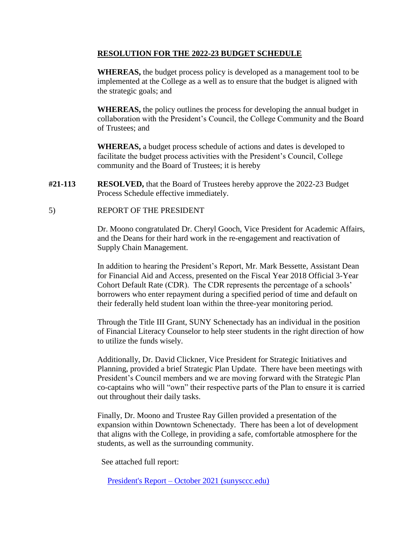## **RESOLUTION FOR THE 2022-23 BUDGET SCHEDULE**

**WHEREAS,** the budget process policy is developed as a management tool to be implemented at the College as a well as to ensure that the budget is aligned with the strategic goals; and

**WHEREAS,** the policy outlines the process for developing the annual budget in collaboration with the President's Council, the College Community and the Board of Trustees; and

**WHEREAS,** a budget process schedule of actions and dates is developed to facilitate the budget process activities with the President's Council, College community and the Board of Trustees; it is hereby

- **#21-113 RESOLVED,** that the Board of Trustees hereby approve the 2022-23 Budget Process Schedule effective immediately.
- 5) REPORT OF THE PRESIDENT

Dr. Moono congratulated Dr. Cheryl Gooch, Vice President for Academic Affairs, and the Deans for their hard work in the re-engagement and reactivation of Supply Chain Management.

In addition to hearing the President's Report, Mr. Mark Bessette, Assistant Dean for Financial Aid and Access, presented on the Fiscal Year 2018 Official 3-Year Cohort Default Rate (CDR). The CDR represents the percentage of a schools' borrowers who enter repayment during a specified period of time and default on their federally held student loan within the three-year monitoring period.

Through the Title III Grant, SUNY Schenectady has an individual in the position of Financial Literacy Counselor to help steer students in the right direction of how to utilize the funds wisely.

Additionally, Dr. David Clickner, Vice President for Strategic Initiatives and Planning, provided a brief Strategic Plan Update. There have been meetings with President's Council members and we are moving forward with the Strategic Plan co-captains who will "own" their respective parts of the Plan to ensure it is carried out throughout their daily tasks.

Finally, Dr. Moono and Trustee Ray Gillen provided a presentation of the expansion within Downtown Schenectady. There has been a lot of development that aligns with the College, in providing a safe, comfortable atmosphere for the students, as well as the surrounding community.

See attached full report:

President's Report – [October 2021 \(sunysccc.edu\)](https://sunysccc.edu/PDF/About%20SCCC/CollegeLeadershipVision/PresidentsReport_10-2021.pdf)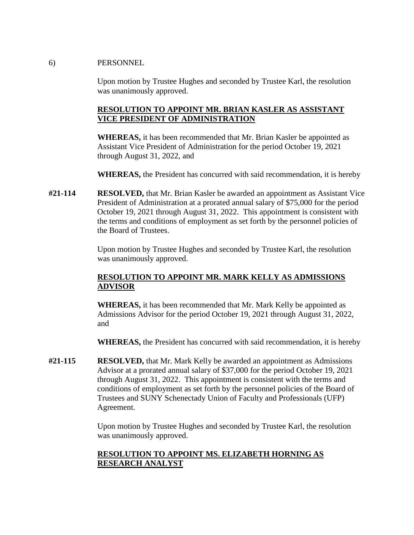#### 6) PERSONNEL

Upon motion by Trustee Hughes and seconded by Trustee Karl, the resolution was unanimously approved.

# **RESOLUTION TO APPOINT MR. BRIAN KASLER AS ASSISTANT VICE PRESIDENT OF ADMINISTRATION**

**WHEREAS,** it has been recommended that Mr. Brian Kasler be appointed as Assistant Vice President of Administration for the period October 19, 2021 through August 31, 2022, and

**WHEREAS,** the President has concurred with said recommendation, it is hereby

**#21-114 RESOLVED,** that Mr. Brian Kasler be awarded an appointment as Assistant Vice President of Administration at a prorated annual salary of \$75,000 for the period October 19, 2021 through August 31, 2022. This appointment is consistent with the terms and conditions of employment as set forth by the personnel policies of the Board of Trustees.

> Upon motion by Trustee Hughes and seconded by Trustee Karl, the resolution was unanimously approved.

# **RESOLUTION TO APPOINT MR. MARK KELLY AS ADMISSIONS ADVISOR**

**WHEREAS,** it has been recommended that Mr. Mark Kelly be appointed as Admissions Advisor for the period October 19, 2021 through August 31, 2022, and

**WHEREAS,** the President has concurred with said recommendation, it is hereby

**#21-115 RESOLVED,** that Mr. Mark Kelly be awarded an appointment as Admissions Advisor at a prorated annual salary of \$37,000 for the period October 19, 2021 through August 31, 2022. This appointment is consistent with the terms and conditions of employment as set forth by the personnel policies of the Board of Trustees and SUNY Schenectady Union of Faculty and Professionals (UFP) Agreement.

> Upon motion by Trustee Hughes and seconded by Trustee Karl, the resolution was unanimously approved.

# **RESOLUTION TO APPOINT MS. ELIZABETH HORNING AS RESEARCH ANALYST**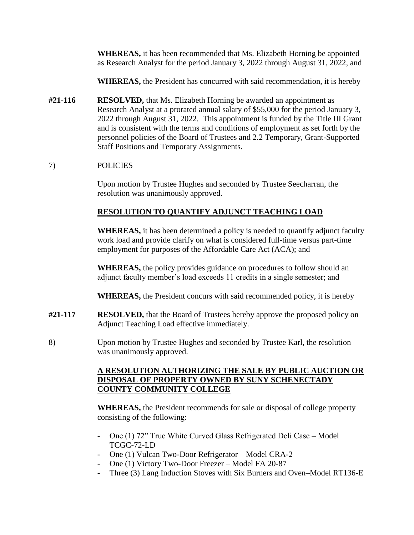**WHEREAS,** it has been recommended that Ms. Elizabeth Horning be appointed as Research Analyst for the period January 3, 2022 through August 31, 2022, and

**WHEREAS,** the President has concurred with said recommendation, it is hereby

**#21-116 RESOLVED,** that Ms. Elizabeth Horning be awarded an appointment as Research Analyst at a prorated annual salary of \$55,000 for the period January 3, 2022 through August 31, 2022. This appointment is funded by the Title III Grant and is consistent with the terms and conditions of employment as set forth by the personnel policies of the Board of Trustees and 2.2 Temporary, Grant-Supported Staff Positions and Temporary Assignments.

# 7) POLICIES

Upon motion by Trustee Hughes and seconded by Trustee Seecharran, the resolution was unanimously approved.

# **RESOLUTION TO QUANTIFY ADJUNCT TEACHING LOAD**

**WHEREAS,** it has been determined a policy is needed to quantify adjunct faculty work load and provide clarify on what is considered full-time versus part-time employment for purposes of the Affordable Care Act (ACA); and

**WHEREAS,** the policy provides guidance on procedures to follow should an adjunct faculty member's load exceeds 11 credits in a single semester; and

**WHEREAS,** the President concurs with said recommended policy, it is hereby

- **#21-117 RESOLVED,** that the Board of Trustees hereby approve the proposed policy on Adjunct Teaching Load effective immediately.
- 8) Upon motion by Trustee Hughes and seconded by Trustee Karl, the resolution was unanimously approved.

# **A RESOLUTION AUTHORIZING THE SALE BY PUBLIC AUCTION OR DISPOSAL OF PROPERTY OWNED BY SUNY SCHENECTADY COUNTY COMMUNITY COLLEGE**

**WHEREAS,** the President recommends for sale or disposal of college property consisting of the following:

- One (1) 72" True White Curved Glass Refrigerated Deli Case Model TCGC-72-LD
- One (1) Vulcan Two-Door Refrigerator Model CRA-2
- One (1) Victory Two-Door Freezer Model FA 20-87
- Three (3) Lang Induction Stoves with Six Burners and Oven–Model RT136-E